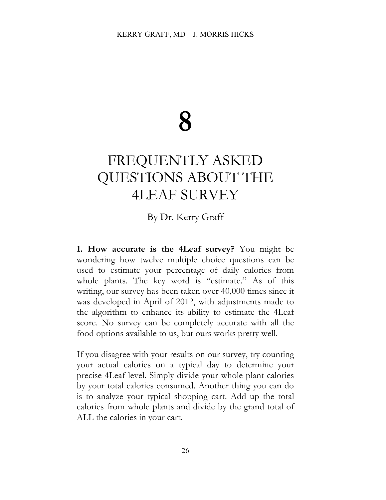# **8**

# FREQUENTLY ASKED QUESTIONS ABOUT THE 4LEAF SURVEY

## By Dr. Kerry Graff

**1. How accurate is the 4Leaf survey?** You might be wondering how twelve multiple choice questions can be used to estimate your percentage of daily calories from whole plants. The key word is "estimate." As of this writing, our survey has been taken over 40,000 times since it was developed in April of 2012, with adjustments made to the algorithm to enhance its ability to estimate the 4Leaf score. No survey can be completely accurate with all the food options available to us, but ours works pretty well.

If you disagree with your results on our survey, try counting your actual calories on a typical day to determine your precise 4Leaf level. Simply divide your whole plant calories by your total calories consumed. Another thing you can do is to analyze your typical shopping cart. Add up the total calories from whole plants and divide by the grand total of ALL the calories in your cart.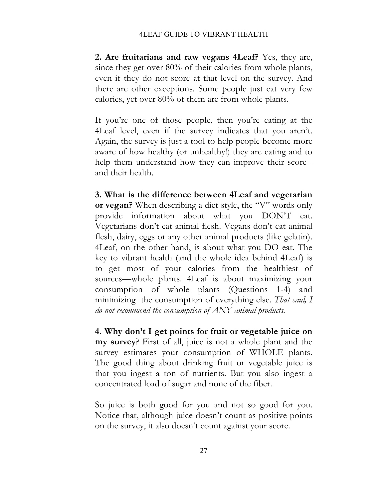#### 4LEAF GUIDE TO VIBRANT HEALTH

**2. Are fruitarians and raw vegans 4Leaf?** Yes, they are, since they get over 80% of their calories from whole plants, even if they do not score at that level on the survey. And there are other exceptions. Some people just eat very few calories, yet over 80% of them are from whole plants.

If you're one of those people, then you're eating at the 4Leaf level, even if the survey indicates that you aren't. Again, the survey is just a tool to help people become more aware of how healthy (or unhealthy!) they are eating and to help them understand how they can improve their score- and their health.

**3. What is the difference between 4Leaf and vegetarian or vegan?** When describing a diet-style, the "V" words only provide information about what you DON'T eat. Vegetarians don't eat animal flesh. Vegans don't eat animal flesh, dairy, eggs or any other animal products (like gelatin). 4Leaf, on the other hand, is about what you DO eat. The key to vibrant health (and the whole idea behind 4Leaf) is to get most of your calories from the healthiest of sources—whole plants. 4Leaf is about maximizing your consumption of whole plants (Questions 1-4) and minimizing the consumption of everything else*. That said, I do not recommend the consumption of ANY animal products.* 

**4. Why don't I get points for fruit or vegetable juice on my survey**? First of all, juice is not a whole plant and the survey estimates your consumption of WHOLE plants. The good thing about drinking fruit or vegetable juice is that you ingest a ton of nutrients. But you also ingest a concentrated load of sugar and none of the fiber.

So juice is both good for you and not so good for you. Notice that, although juice doesn't count as positive points on the survey, it also doesn't count against your score.